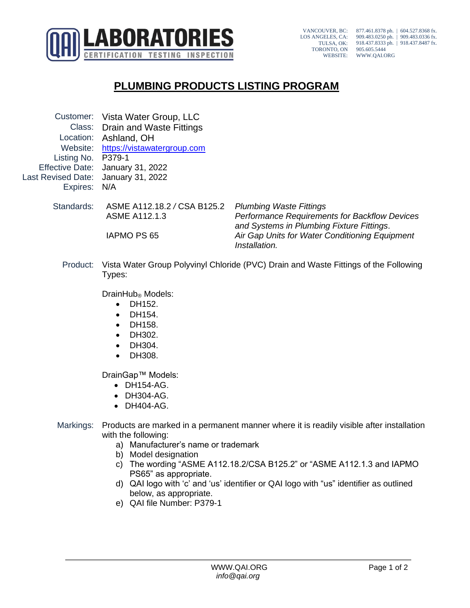

VANCOUVER, BC: LOS ANGELES, CA: TULSA, OK: TORONTO, ON WEBSITE: 877.461.8378 ph. | 604.527.8368 fx. 909.483.0250 ph. | 909.483.0336 fx. 918.437.8333 ph. | 918.437.8487 fx. 905.605.5444 WWW.QAI.ORG

## **PLUMBING PRODUCTS LISTING PROGRAM**

Customer: Vista Water Group, LLC Class: Drain and Waste Fittings Location: Ashland, OH Website: [https://vistawatergroup.com](https://vistawatergroup.com/) Listing No. P379-1 Effective Date: January 31, 2022 Last Revised Date: January 31, 2022 Expires: N/A Standards: ASME A112.18.2 */* CSA B125.2 *Plumbing Waste Fittings* ASME A112.1.3 *Performance Requirements for Backflow Devices* 

*and Systems in Plumbing Fixture Fittings*. IAPMO PS 65 *Air Gap Units for Water Conditioning Equipment Installation.*

Product: Vista Water Group Polyvinyl Chloride (PVC) Drain and Waste Fittings of the Following Types:

DrainHub<sub>®</sub> Models:

- DH152.
- DH154.
- DH158.
- DH302.
- DH304.
- DH308.

DrainGap™ Models:

- DH154-AG.
- DH304-AG.
- DH404-AG.
- Markings: Products are marked in a permanent manner where it is readily visible after installation with the following:
	- a) Manufacturer's name or trademark
	- b) Model designation
	- c) The wording "ASME A112.18.2/CSA B125.2" or "ASME A112.1.3 and IAPMO PS65" as appropriate.
	- d) QAI logo with 'c' and 'us' identifier or QAI logo with "us" identifier as outlined below, as appropriate.
	- e) QAI file Number: P379-1